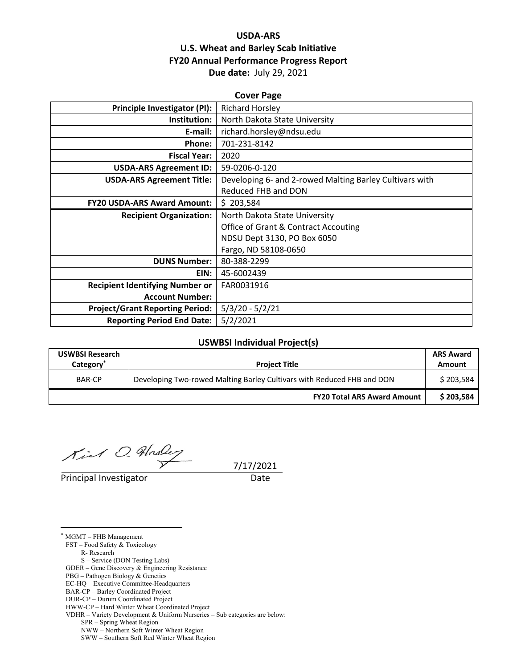### **USDA‐ARS U.S. Wheat and Barley Scab Initiative FY20 Annual Performance Progress Report Due date:** July 29, 2021

| <b>Cover Page</b>                      |                                                         |  |  |  |
|----------------------------------------|---------------------------------------------------------|--|--|--|
| <b>Principle Investigator (PI):</b>    | <b>Richard Horsley</b>                                  |  |  |  |
| Institution:                           | North Dakota State University                           |  |  |  |
| E-mail:                                | richard.horsley@ndsu.edu                                |  |  |  |
| Phone:                                 | 701-231-8142                                            |  |  |  |
| <b>Fiscal Year:</b>                    | 2020                                                    |  |  |  |
| <b>USDA-ARS Agreement ID:</b>          | 59-0206-0-120                                           |  |  |  |
| <b>USDA-ARS Agreement Title:</b>       | Developing 6- and 2-rowed Malting Barley Cultivars with |  |  |  |
|                                        | Reduced FHB and DON                                     |  |  |  |
| <b>FY20 USDA-ARS Award Amount:</b>     | \$203,584                                               |  |  |  |
| <b>Recipient Organization:</b>         | North Dakota State University                           |  |  |  |
|                                        | <b>Office of Grant &amp; Contract Accouting</b>         |  |  |  |
|                                        | NDSU Dept 3130, PO Box 6050                             |  |  |  |
|                                        | Fargo, ND 58108-0650                                    |  |  |  |
| <b>DUNS Number:</b>                    | 80-388-2299                                             |  |  |  |
| EIN:                                   | 45-6002439                                              |  |  |  |
| <b>Recipient Identifying Number or</b> | FAR0031916                                              |  |  |  |
| <b>Account Number:</b>                 |                                                         |  |  |  |
| <b>Project/Grant Reporting Period:</b> | $5/3/20 - 5/2/21$                                       |  |  |  |
| <b>Reporting Period End Date:</b>      | 5/2/2021                                                |  |  |  |

#### **USWBSI Individual Project(s)**

| <b>USWBSI Research</b><br>Category <sup>®</sup> | <b>Project Title</b>                                                   | <b>ARS Award</b><br>Amount |
|-------------------------------------------------|------------------------------------------------------------------------|----------------------------|
| <b>BAR-CP</b>                                   | Developing Two-rowed Malting Barley Cultivars with Reduced FHB and DON |                            |
|                                                 | <b>FY20 Total ARS Award Amount</b>                                     | \$203,584                  |

Kil O. Hosley

Principal Investigator **Date** 

7/17/2021

 $\overline{a}$ \* MGMT – FHB Management FST – Food Safety & Toxicology R- Research S – Service (DON Testing Labs) GDER – Gene Discovery & Engineering Resistance PBG – Pathogen Biology & Genetics EC-HQ – Executive Committee-Headquarters BAR-CP – Barley Coordinated Project DUR-CP – Durum Coordinated Project HWW-CP – Hard Winter Wheat Coordinated Project VDHR – Variety Development & Uniform Nurseries – Sub categories are below: SPR – Spring Wheat Region NWW – Northern Soft Winter Wheat Region

SWW – Southern Soft Red Winter Wheat Region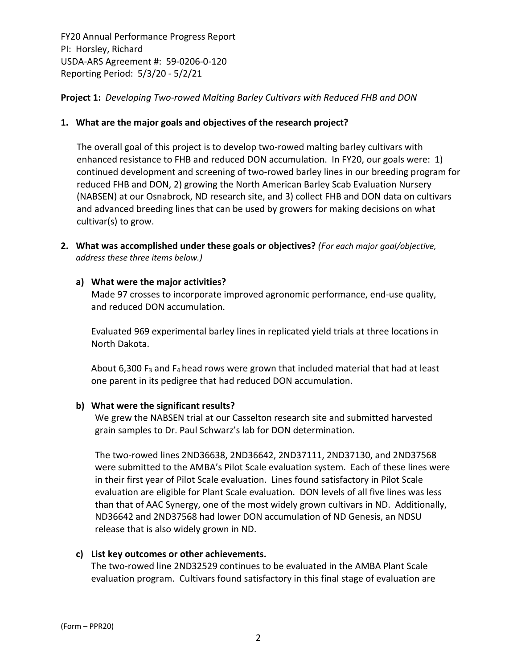**Project 1:** *Developing Two‐rowed Malting Barley Cultivars with Reduced FHB and DON*

### **1. What are the major goals and objectives of the research project?**

The overall goal of this project is to develop two‐rowed malting barley cultivars with enhanced resistance to FHB and reduced DON accumulation. In FY20, our goals were: 1) continued development and screening of two‐rowed barley lines in our breeding program for reduced FHB and DON, 2) growing the North American Barley Scab Evaluation Nursery (NABSEN) at our Osnabrock, ND research site, and 3) collect FHB and DON data on cultivars and advanced breeding lines that can be used by growers for making decisions on what cultivar(s) to grow.

**2. What was accomplished under these goals or objectives?** *(For each major goal/objective, address these three items below.)*

### **a) What were the major activities?**

Made 97 crosses to incorporate improved agronomic performance, end‐use quality, and reduced DON accumulation.

Evaluated 969 experimental barley lines in replicated yield trials at three locations in North Dakota.

About 6,300  $F_3$  and  $F_4$  head rows were grown that included material that had at least one parent in its pedigree that had reduced DON accumulation.

#### **b) What were the significant results?**

We grew the NABSEN trial at our Casselton research site and submitted harvested grain samples to Dr. Paul Schwarz's lab for DON determination.

The two‐rowed lines 2ND36638, 2ND36642, 2ND37111, 2ND37130, and 2ND37568 were submitted to the AMBA's Pilot Scale evaluation system. Each of these lines were in their first year of Pilot Scale evaluation. Lines found satisfactory in Pilot Scale evaluation are eligible for Plant Scale evaluation. DON levels of all five lines was less than that of AAC Synergy, one of the most widely grown cultivars in ND. Additionally, ND36642 and 2ND37568 had lower DON accumulation of ND Genesis, an NDSU release that is also widely grown in ND.

### **c) List key outcomes or other achievements.**

The two‐rowed line 2ND32529 continues to be evaluated in the AMBA Plant Scale evaluation program. Cultivars found satisfactory in this final stage of evaluation are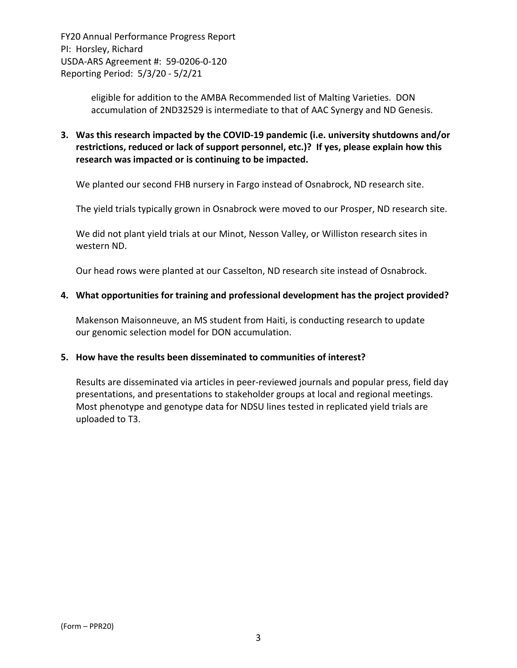> eligible for addition to the AMBA Recommended list of Malting Varieties. DON accumulation of 2ND32529 is intermediate to that of AAC Synergy and ND Genesis.

**3. Was this research impacted by the COVID‐19 pandemic (i.e. university shutdowns and/or restrictions, reduced or lack of support personnel, etc.)? If yes, please explain how this research was impacted or is continuing to be impacted.**

We planted our second FHB nursery in Fargo instead of Osnabrock, ND research site.

The yield trials typically grown in Osnabrock were moved to our Prosper, ND research site.

We did not plant yield trials at our Minot, Nesson Valley, or Williston research sites in western ND.

Our head rows were planted at our Casselton, ND research site instead of Osnabrock.

#### **4. What opportunities for training and professional development has the project provided?**

Makenson Maisonneuve, an MS student from Haiti, is conducting research to update our genomic selection model for DON accumulation.

#### **5. How have the results been disseminated to communities of interest?**

Results are disseminated via articles in peer‐reviewed journals and popular press, field day presentations, and presentations to stakeholder groups at local and regional meetings. Most phenotype and genotype data for NDSU lines tested in replicated yield trials are uploaded to T3.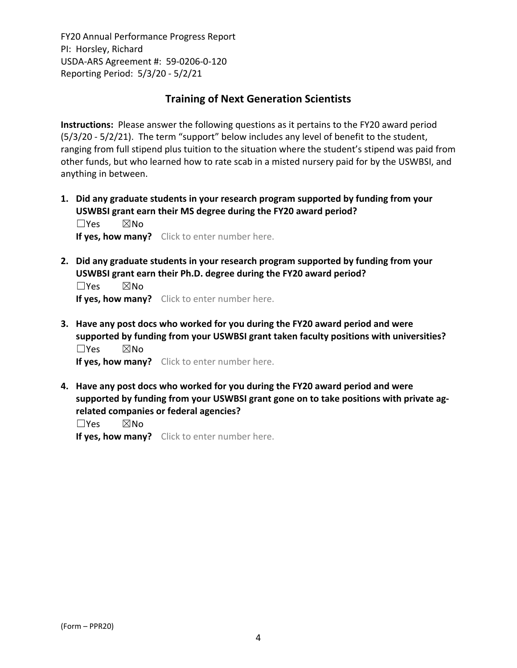# **Training of Next Generation Scientists**

**Instructions:** Please answer the following questions as it pertains to the FY20 award period (5/3/20 ‐ 5/2/21). The term "support" below includes any level of benefit to the student, ranging from full stipend plus tuition to the situation where the student's stipend was paid from other funds, but who learned how to rate scab in a misted nursery paid for by the USWBSI, and anything in between.

**1. Did any graduate students in your research program supported by funding from your USWBSI grant earn their MS degree during the FY20 award period?** ☐Yes ☒No

**If yes, how many?** Click to enter number here.

**2. Did any graduate students in your research program supported by funding from your USWBSI grant earn their Ph.D. degree during the FY20 award period?**

☐Yes ☒No **If yes, how many?** Click to enter number here.

**3. Have any post docs who worked for you during the FY20 award period and were supported by funding from your USWBSI grant taken faculty positions with universities?** ☐Yes ☒No

**If yes, how many?** Click to enter number here.

**4. Have any post docs who worked for you during the FY20 award period and were supported by funding from your USWBSI grant gone on to take positions with private ag‐ related companies or federal agencies?**

☐Yes ☒No

**If yes, how many?** Click to enter number here.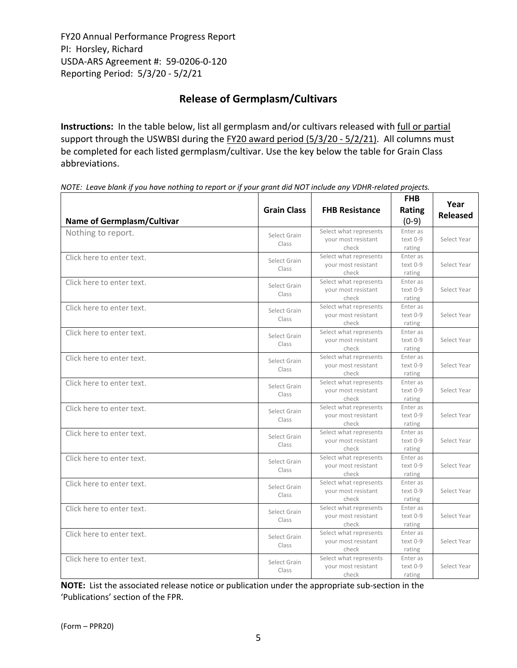# **Release of Germplasm/Cultivars**

**Instructions:** In the table below, list all germplasm and/or cultivars released with full or partial support through the USWBSI during the FY20 award period (5/3/20 - 5/2/21). All columns must be completed for each listed germplasm/cultivar. Use the key below the table for Grain Class abbreviations. 

NOTE: Leave blank if you have nothing to report or if your grant did NOT include any VDHR-related projects.

| <b>Name of Germplasm/Cultivar</b> | <b>Grain Class</b>    | <b>FHB Resistance</b>                                  | <b>FHB</b><br>Rating<br>$(0-9)$  | Year<br><b>Released</b> |
|-----------------------------------|-----------------------|--------------------------------------------------------|----------------------------------|-------------------------|
| Nothing to report.                | Select Grain<br>Class | Select what represents<br>your most resistant<br>check | Enter as<br>$text 0-9$<br>rating | Select Year             |
| Click here to enter text.         | Select Grain<br>Class | Select what represents<br>your most resistant<br>check | Enter as<br>text 0-9<br>rating   | Select Year             |
| Click here to enter text.         | Select Grain<br>Class | Select what represents<br>your most resistant<br>check | Enter as<br>text 0-9<br>rating   | Select Year             |
| Click here to enter text.         | Select Grain<br>Class | Select what represents<br>your most resistant<br>check | Enter as<br>text 0-9<br>rating   | Select Year             |
| Click here to enter text.         | Select Grain<br>Class | Select what represents<br>your most resistant<br>check | Enter as<br>text 0-9<br>rating   | Select Year             |
| Click here to enter text.         | Select Grain<br>Class | Select what represents<br>your most resistant<br>check | Enter as<br>text 0-9<br>rating   | Select Year             |
| Click here to enter text.         | Select Grain<br>Class | Select what represents<br>your most resistant<br>check | Enter as<br>text 0-9<br>rating   | Select Year             |
| Click here to enter text.         | Select Grain<br>Class | Select what represents<br>your most resistant<br>check | Enter as<br>text 0-9<br>rating   | Select Year             |
| Click here to enter text.         | Select Grain<br>Class | Select what represents<br>your most resistant<br>check | Enter as<br>text 0-9<br>rating   | Select Year             |
| Click here to enter text.         | Select Grain<br>Class | Select what represents<br>your most resistant<br>check | Enter as<br>text 0-9<br>rating   | Select Year             |
| Click here to enter text.         | Select Grain<br>Class | Select what represents<br>your most resistant<br>check | Enter as<br>text 0-9<br>rating   | Select Year             |
| Click here to enter text.         | Select Grain<br>Class | Select what represents<br>your most resistant<br>check | Enter as<br>text 0-9<br>rating   | Select Year             |
| Click here to enter text.         | Select Grain<br>Class | Select what represents<br>your most resistant<br>check | Enter as<br>text 0-9<br>rating   | Select Year             |
| Click here to enter text.         | Select Grain<br>Class | Select what represents<br>your most resistant<br>check | Enter as<br>text 0-9<br>rating   | Select Year             |

**NOTE:** List the associated release notice or publication under the appropriate sub-section in the 'Publications' section of the FPR.